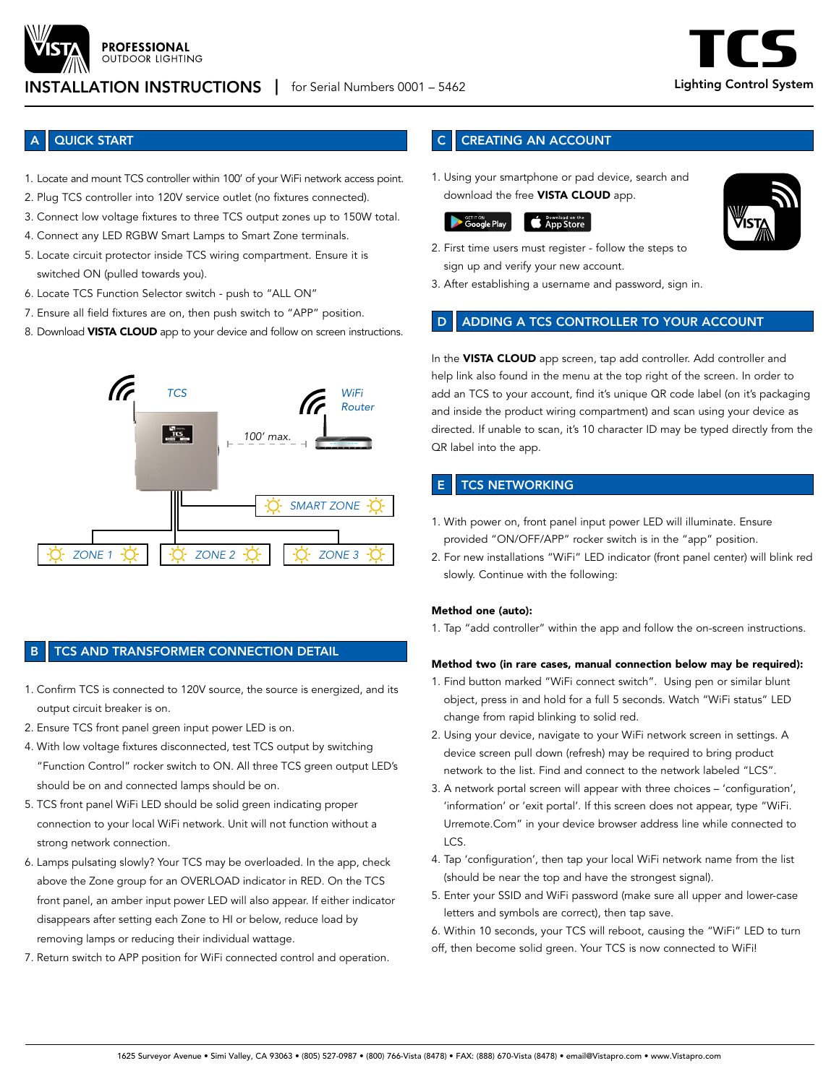

#### **PROFESSIONAL OUTDOOR LIGHTING**

# INSTALLATION INSTRUCTIONS | for Serial Numbers 0001 – 5462 **Lighting Control System**

## **QUICK START**

- 1. Locate and mount TCS controller within 100' of your WiFi network access point.
- 2. Plug TCS controller into 120V service outlet (no fixtures connected).
- 3. Connect low voltage fixtures to three TCS output zones up to 150W total.
- 4. Connect any LED RGBW Smart Lamps to Smart Zone terminals.
- 5. Locate circuit protector inside TCS wiring compartment. Ensure it is switched ON (pulled towards you).
- 6. Locate TCS Function Selector switch push to "ALL ON"
- 7. Ensure all field fixtures are on, then push switch to "APP" position.
- 8. Download VISTA CLOUD app to your device and follow on screen instructions.



## TCS AND TRANSFORMER CONNECTION DETAIL

- 1. Confirm TCS is connected to 120V source, the source is energized, and its output circuit breaker is on.
- 2. Ensure TCS front panel green input power LED is on.
- 4. With low voltage fixtures disconnected, test TCS output by switching "Function Control" rocker switch to ON. All three TCS green output LED's should be on and connected lamps should be on.
- 5. TCS front panel WiFi LED should be solid green indicating proper connection to your local WiFi network. Unit will not function without a strong network connection.
- 6. Lamps pulsating slowly? Your TCS may be overloaded. In the app, check above the Zone group for an OVERLOAD indicator in RED. On the TCS front panel, an amber input power LED will also appear. If either indicator disappears after setting each Zone to HI or below, reduce load by removing lamps or reducing their individual wattage.
- 7. Return switch to APP position for WiFi connected control and operation.

# **CREATING AN ACCOUNT**

1. Using your smartphone or pad device, search and download the free VISTA CLOUD app.



- 2. First time users must register follow the steps to sign up and verify your new account.
- 3. After establishing a username and password, sign in.

### ADDING A TCS CONTROLLER TO YOUR ACCOUNT

In the VISTA CLOUD app screen, tap add controller. Add controller and help link also found in the menu at the top right of the screen. In order to add an TCS to your account, find it's unique QR code label (on it's packaging and inside the product wiring compartment) and scan using your device as directed. If unable to scan, it's 10 character ID may be typed directly from the QR label into the app.

# **TCS NETWORKING**

- 1. With power on, front panel input power LED will illuminate. Ensure provided "ON/OFF/APP" rocker switch is in the "app" position.
- 2. For new installations "WiFi" LED indicator (front panel center) will blink red slowly. Continue with the following:

#### Method one (auto):

1. Tap "add controller" within the app and follow the on-screen instructions.

### Method two (in rare cases, manual connection below may be required):

- 1. Find button marked "WiFi connect switch". Using pen or similar blunt object, press in and hold for a full 5 seconds. Watch "WiFi status" LED change from rapid blinking to solid red.
- 2. Using your device, navigate to your WiFi network screen in settings. A device screen pull down (refresh) may be required to bring product network to the list. Find and connect to the network labeled "LCS".
- 3. A network portal screen will appear with three choices 'configuration', 'information' or 'exit portal'. If this screen does not appear, type "WiFi. Urremote.Com" in your device browser address line while connected to LCS.
- 4. Tap 'configuration', then tap your local WiFi network name from the list (should be near the top and have the strongest signal).
- 5. Enter your SSID and WiFi password (make sure all upper and lower-case letters and symbols are correct), then tap save.
- 6. Within 10 seconds, your TCS will reboot, causing the "WiFi" LED to turn
- off, then become solid green. Your TCS is now connected to WiFi!